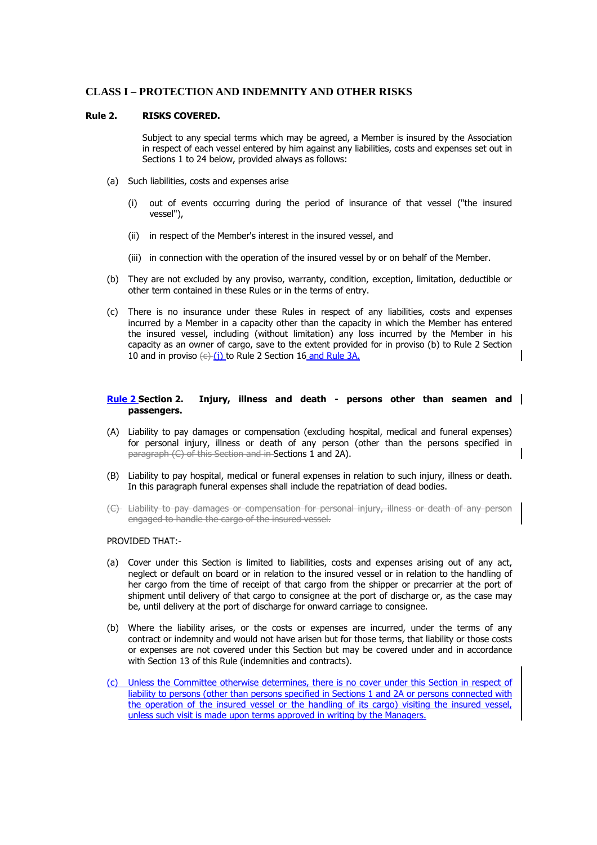# **CLASS I – PROTECTION AND INDEMNITY AND OTHER RISKS**

### **Rule 2. RISKS COVERED.**

Subject to any special terms which may be agreed, a Member is insured by the Association in respect of each vessel entered by him against any liabilities, costs and expenses set out in Sections 1 to 24 below, provided always as follows:

- (a) Such liabilities, costs and expenses arise
	- (i) out of events occurring during the period of insurance of that vessel ("the insured vessel"),
	- (ii) in respect of the Member's interest in the insured vessel, and
	- (iii) in connection with the operation of the insured vessel by or on behalf of the Member.
- (b) They are not excluded by any proviso, warranty, condition, exception, limitation, deductible or other term contained in these Rules or in the terms of entry.
- (c) There is no insurance under these Rules in respect of any liabilities, costs and expenses incurred by a Member in a capacity other than the capacity in which the Member has entered the insured vessel, including (without limitation) any loss incurred by the Member in his capacity as an owner of cargo, save to the extent provided for in proviso (b) to Rule 2 Section 10 and in proviso  $\left(\frac{c}{i}\right)$  to Rule 2 Section 16 and Rule 3A.

### **Rule 2 Section 2. Injury, illness and death - persons other than seamen and passengers.**

- (A) Liability to pay damages or compensation (excluding hospital, medical and funeral expenses) for personal injury, illness or death of any person (other than the persons specified in paragraph (C) of this Section and in Sections 1 and 2A).
- (B) Liability to pay hospital, medical or funeral expenses in relation to such injury, illness or death. In this paragraph funeral expenses shall include the repatriation of dead bodies.
- (C) Liability to pay damages or compensation for personal injury, illness or death of any person engaged to handle the cargo of the insured vessel.

### PROVIDED THAT:-

- (a) Cover under this Section is limited to liabilities, costs and expenses arising out of any act, neglect or default on board or in relation to the insured vessel or in relation to the handling of her cargo from the time of receipt of that cargo from the shipper or precarrier at the port of shipment until delivery of that cargo to consignee at the port of discharge or, as the case may be, until delivery at the port of discharge for onward carriage to consignee.
- (b) Where the liability arises, or the costs or expenses are incurred, under the terms of any contract or indemnity and would not have arisen but for those terms, that liability or those costs or expenses are not covered under this Section but may be covered under and in accordance with Section 13 of this Rule (indemnities and contracts).
- (c) Unless the Committee otherwise determines, there is no cover under this Section in respect of liability to persons (other than persons specified in Sections 1 and 2A or persons connected with the operation of the insured vessel or the handling of its cargo) visiting the insured vessel, unless such visit is made upon terms approved in writing by the Managers.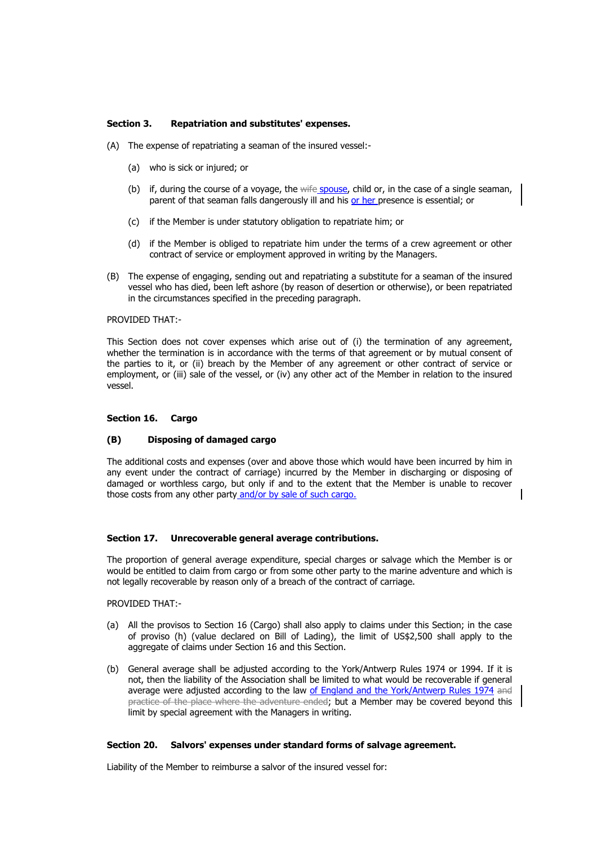### **Section 3. Repatriation and substitutes' expenses.**

- (A) The expense of repatriating a seaman of the insured vessel:-
	- (a) who is sick or injured; or
	- (b) if, during the course of a voyage, the wife spouse, child or, in the case of a single seaman, parent of that seaman falls dangerously ill and his or her presence is essential; or
	- (c) if the Member is under statutory obligation to repatriate him; or
	- (d) if the Member is obliged to repatriate him under the terms of a crew agreement or other contract of service or employment approved in writing by the Managers.
- (B) The expense of engaging, sending out and repatriating a substitute for a seaman of the insured vessel who has died, been left ashore (by reason of desertion or otherwise), or been repatriated in the circumstances specified in the preceding paragraph.

#### PROVIDED THAT:-

This Section does not cover expenses which arise out of (i) the termination of any agreement, whether the termination is in accordance with the terms of that agreement or by mutual consent of the parties to it, or (ii) breach by the Member of any agreement or other contract of service or employment, or (iii) sale of the vessel, or (iv) any other act of the Member in relation to the insured vessel.

#### **Section 16. Cargo**

### **(B) Disposing of damaged cargo**

The additional costs and expenses (over and above those which would have been incurred by him in any event under the contract of carriage) incurred by the Member in discharging or disposing of damaged or worthless cargo, but only if and to the extent that the Member is unable to recover those costs from any other party and/or by sale of such cargo.

### **Section 17. Unrecoverable general average contributions.**

The proportion of general average expenditure, special charges or salvage which the Member is or would be entitled to claim from cargo or from some other party to the marine adventure and which is not legally recoverable by reason only of a breach of the contract of carriage.

PROVIDED THAT:-

- (a) All the provisos to Section 16 (Cargo) shall also apply to claims under this Section; in the case of proviso (h) (value declared on Bill of Lading), the limit of US\$2,500 shall apply to the aggregate of claims under Section 16 and this Section.
- (b) General average shall be adjusted according to the York/Antwerp Rules 1974 or 1994. If it is not, then the liability of the Association shall be limited to what would be recoverable if general average were adjusted according to the law of England and the York/Antwerp Rules 1974 and practice of the place where the adventure ended; but a Member may be covered beyond this limit by special agreement with the Managers in writing.

### **Section 20. Salvors' expenses under standard forms of salvage agreement.**

Liability of the Member to reimburse a salvor of the insured vessel for: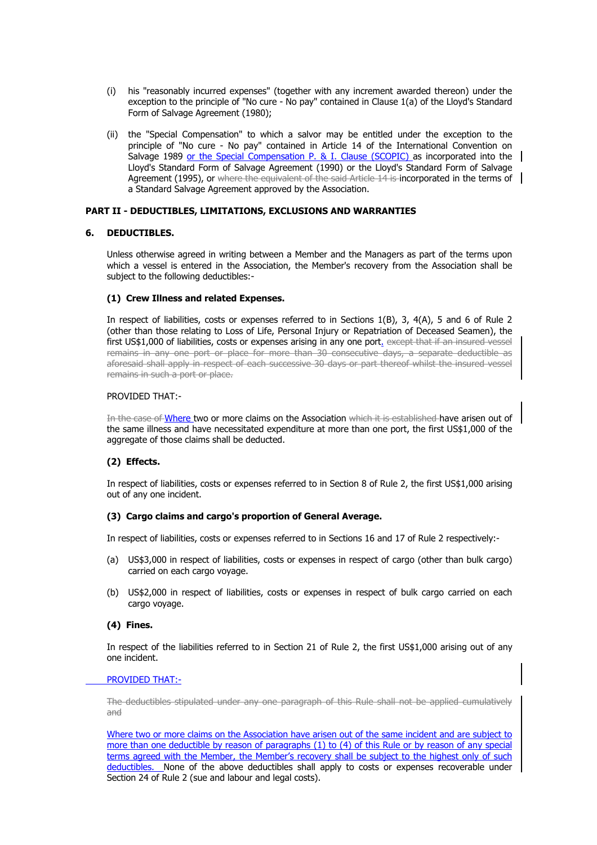- (i) his "reasonably incurred expenses" (together with any increment awarded thereon) under the exception to the principle of "No cure - No pay" contained in Clause 1(a) of the Lloyd's Standard Form of Salvage Agreement (1980);
- (ii) the "Special Compensation" to which a salvor may be entitled under the exception to the principle of "No cure - No pay" contained in Article 14 of the International Convention on Salvage 1989 or the Special Compensation P. & I. Clause (SCOPIC) as incorporated into the Lloyd's Standard Form of Salvage Agreement (1990) or the Lloyd's Standard Form of Salvage Agreement (1995), or where the equivalent of the said Article 14 is incorporated in the terms of a Standard Salvage Agreement approved by the Association.

### **PART II - DEDUCTIBLES, LIMITATIONS, EXCLUSIONS AND WARRANTIES**

### **6. DEDUCTIBLES.**

Unless otherwise agreed in writing between a Member and the Managers as part of the terms upon which a vessel is entered in the Association, the Member's recovery from the Association shall be subject to the following deductibles:-

### **(1) Crew Illness and related Expenses.**

In respect of liabilities, costs or expenses referred to in Sections 1(B), 3, 4(A), 5 and 6 of Rule 2 (other than those relating to Loss of Life, Personal Injury or Repatriation of Deceased Seamen), the first US\$1,000 of liabilities, costs or expenses arising in any one port. except that if an insured vessel remains in any one port or place for more than 30 consecutive days, a separate deductible as aforesaid shall apply in respect of each successive 30 days or part thereof whilst the insured vessel remains in such a port or place.

### PROVIDED THAT:-

In the case of Where two or more claims on the Association which it is established have arisen out of the same illness and have necessitated expenditure at more than one port, the first US\$1,000 of the aggregate of those claims shall be deducted.

# **(2) Effects.**

In respect of liabilities, costs or expenses referred to in Section 8 of Rule 2, the first US\$1,000 arising out of any one incident.

# **(3) Cargo claims and cargo's proportion of General Average.**

In respect of liabilities, costs or expenses referred to in Sections 16 and 17 of Rule 2 respectively:-

- (a) US\$3,000 in respect of liabilities, costs or expenses in respect of cargo (other than bulk cargo) carried on each cargo voyage.
- (b) US\$2,000 in respect of liabilities, costs or expenses in respect of bulk cargo carried on each cargo voyage.

### **(4) Fines.**

In respect of the liabilities referred to in Section 21 of Rule 2, the first US\$1,000 arising out of any one incident.

### PROVIDED THAT:-

The deductibles stipulated under any one paragraph of this Rule shall not be applied cumulatively and

Where two or more claims on the Association have arisen out of the same incident and are subject to more than one deductible by reason of paragraphs (1) to (4) of this Rule or by reason of any special terms agreed with the Member, the Member's recovery shall be subject to the highest only of such deductibles. None of the above deductibles shall apply to costs or expenses recoverable under Section 24 of Rule 2 (sue and labour and legal costs).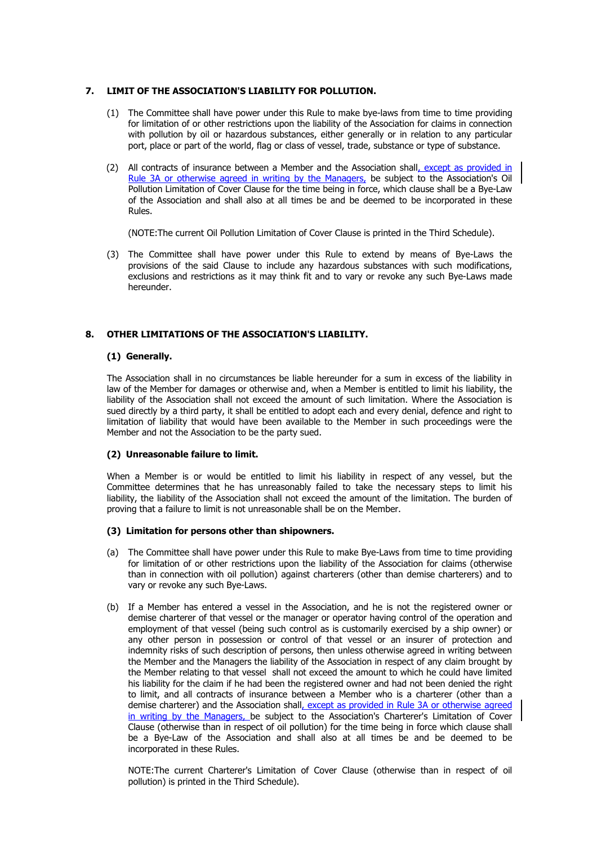# **7. LIMIT OF THE ASSOCIATION'S LIABILITY FOR POLLUTION.**

- (1) The Committee shall have power under this Rule to make bye-laws from time to time providing for limitation of or other restrictions upon the liability of the Association for claims in connection with pollution by oil or hazardous substances, either generally or in relation to any particular port, place or part of the world, flag or class of vessel, trade, substance or type of substance.
- (2) All contracts of insurance between a Member and the Association shall, except as provided in Rule 3A or otherwise agreed in writing by the Managers, be subject to the Association's Oil Pollution Limitation of Cover Clause for the time being in force, which clause shall be a Bye-Law of the Association and shall also at all times be and be deemed to be incorporated in these Rules.

(NOTE:The current Oil Pollution Limitation of Cover Clause is printed in the Third Schedule).

(3) The Committee shall have power under this Rule to extend by means of Bye-Laws the provisions of the said Clause to include any hazardous substances with such modifications, exclusions and restrictions as it may think fit and to vary or revoke any such Bye-Laws made hereunder.

# **8. OTHER LIMITATIONS OF THE ASSOCIATION'S LIABILITY.**

# **(1) Generally.**

The Association shall in no circumstances be liable hereunder for a sum in excess of the liability in law of the Member for damages or otherwise and, when a Member is entitled to limit his liability, the liability of the Association shall not exceed the amount of such limitation. Where the Association is sued directly by a third party, it shall be entitled to adopt each and every denial, defence and right to limitation of liability that would have been available to the Member in such proceedings were the Member and not the Association to be the party sued.

# **(2) Unreasonable failure to limit.**

When a Member is or would be entitled to limit his liability in respect of any vessel, but the Committee determines that he has unreasonably failed to take the necessary steps to limit his liability, the liability of the Association shall not exceed the amount of the limitation. The burden of proving that a failure to limit is not unreasonable shall be on the Member.

# **(3) Limitation for persons other than shipowners.**

- (a) The Committee shall have power under this Rule to make Bye-Laws from time to time providing for limitation of or other restrictions upon the liability of the Association for claims (otherwise than in connection with oil pollution) against charterers (other than demise charterers) and to vary or revoke any such Bye-Laws.
- (b) If a Member has entered a vessel in the Association, and he is not the registered owner or demise charterer of that vessel or the manager or operator having control of the operation and employment of that vessel (being such control as is customarily exercised by a ship owner) or any other person in possession or control of that vessel or an insurer of protection and indemnity risks of such description of persons, then unless otherwise agreed in writing between the Member and the Managers the liability of the Association in respect of any claim brought by the Member relating to that vessel shall not exceed the amount to which he could have limited his liability for the claim if he had been the registered owner and had not been denied the right to limit, and all contracts of insurance between a Member who is a charterer (other than a demise charterer) and the Association shall, except as provided in Rule 3A or otherwise agreed in writing by the Managers, be subject to the Association's Charterer's Limitation of Cover Clause (otherwise than in respect of oil pollution) for the time being in force which clause shall be a Bye-Law of the Association and shall also at all times be and be deemed to be incorporated in these Rules.

NOTE:The current Charterer's Limitation of Cover Clause (otherwise than in respect of oil pollution) is printed in the Third Schedule).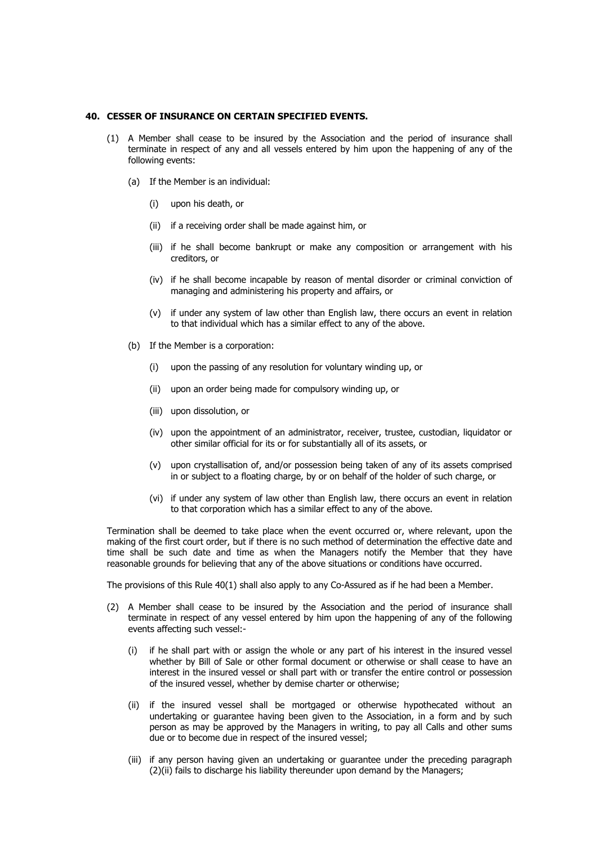# **40. CESSER OF INSURANCE ON CERTAIN SPECIFIED EVENTS.**

- (1) A Member shall cease to be insured by the Association and the period of insurance shall terminate in respect of any and all vessels entered by him upon the happening of any of the following events:
	- (a) If the Member is an individual:
		- (i) upon his death, or
		- (ii) if a receiving order shall be made against him, or
		- (iii) if he shall become bankrupt or make any composition or arrangement with his creditors, or
		- (iv) if he shall become incapable by reason of mental disorder or criminal conviction of managing and administering his property and affairs, or
		- (v) if under any system of law other than English law, there occurs an event in relation to that individual which has a similar effect to any of the above.
	- (b) If the Member is a corporation:
		- (i) upon the passing of any resolution for voluntary winding up, or
		- (ii) upon an order being made for compulsory winding up, or
		- (iii) upon dissolution, or
		- (iv) upon the appointment of an administrator, receiver, trustee, custodian, liquidator or other similar official for its or for substantially all of its assets, or
		- (v) upon crystallisation of, and/or possession being taken of any of its assets comprised in or subject to a floating charge, by or on behalf of the holder of such charge, or
		- (vi) if under any system of law other than English law, there occurs an event in relation to that corporation which has a similar effect to any of the above.

Termination shall be deemed to take place when the event occurred or, where relevant, upon the making of the first court order, but if there is no such method of determination the effective date and time shall be such date and time as when the Managers notify the Member that they have reasonable grounds for believing that any of the above situations or conditions have occurred.

The provisions of this Rule 40(1) shall also apply to any Co-Assured as if he had been a Member.

- (2) A Member shall cease to be insured by the Association and the period of insurance shall terminate in respect of any vessel entered by him upon the happening of any of the following events affecting such vessel:-
	- (i) if he shall part with or assign the whole or any part of his interest in the insured vessel whether by Bill of Sale or other formal document or otherwise or shall cease to have an interest in the insured vessel or shall part with or transfer the entire control or possession of the insured vessel, whether by demise charter or otherwise;
	- (ii) if the insured vessel shall be mortgaged or otherwise hypothecated without an undertaking or guarantee having been given to the Association, in a form and by such person as may be approved by the Managers in writing, to pay all Calls and other sums due or to become due in respect of the insured vessel;
	- (iii) if any person having given an undertaking or guarantee under the preceding paragraph (2)(ii) fails to discharge his liability thereunder upon demand by the Managers;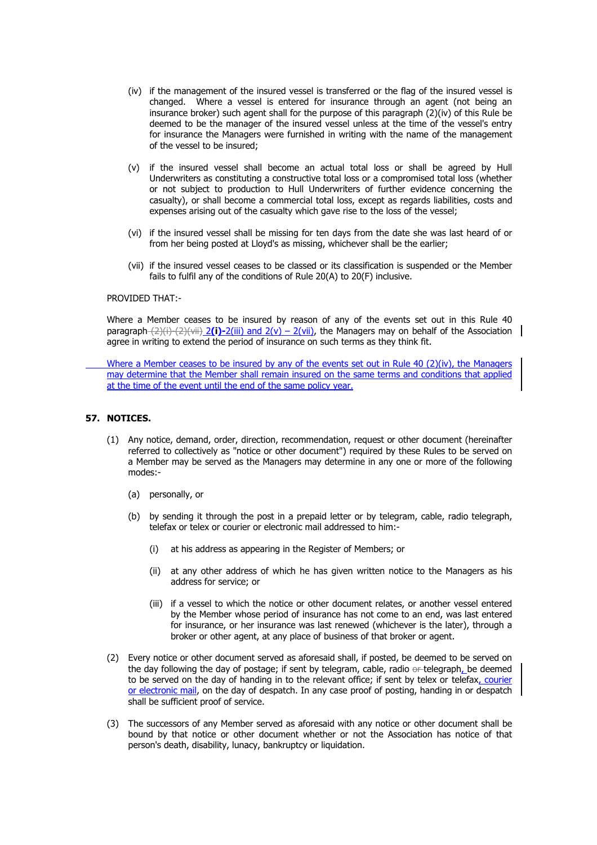- (iv) if the management of the insured vessel is transferred or the flag of the insured vessel is changed. Where a vessel is entered for insurance through an agent (not being an insurance broker) such agent shall for the purpose of this paragraph  $(2)(iv)$  of this Rule be deemed to be the manager of the insured vessel unless at the time of the vessel's entry for insurance the Managers were furnished in writing with the name of the management of the vessel to be insured;
- (v) if the insured vessel shall become an actual total loss or shall be agreed by Hull Underwriters as constituting a constructive total loss or a compromised total loss (whether or not subject to production to Hull Underwriters of further evidence concerning the casualty), or shall become a commercial total loss, except as regards liabilities, costs and expenses arising out of the casualty which gave rise to the loss of the vessel;
- (vi) if the insured vessel shall be missing for ten days from the date she was last heard of or from her being posted at Lloyd's as missing, whichever shall be the earlier;
- (vii) if the insured vessel ceases to be classed or its classification is suspended or the Member fails to fulfil any of the conditions of Rule 20(A) to 20(F) inclusive.

### PROVIDED THAT:-

Where a Member ceases to be insured by reason of any of the events set out in this Rule 40 paragraph (2)(i)-(2)(vii) 2(i)-2(iii) and 2(v) – 2(vii), the Managers may on behalf of the Association agree in writing to extend the period of insurance on such terms as they think fit.

 Where a Member ceases to be insured by any of the events set out in Rule 40 (2)(iv), the Managers may determine that the Member shall remain insured on the same terms and conditions that applied at the time of the event until the end of the same policy year.

### **57. NOTICES.**

- (1) Any notice, demand, order, direction, recommendation, request or other document (hereinafter referred to collectively as "notice or other document") required by these Rules to be served on a Member may be served as the Managers may determine in any one or more of the following modes:-
	- (a) personally, or
	- (b) by sending it through the post in a prepaid letter or by telegram, cable, radio telegraph, telefax or telex or courier or electronic mail addressed to him:-
		- (i) at his address as appearing in the Register of Members; or
		- (ii) at any other address of which he has given written notice to the Managers as his address for service; or
		- (iii) if a vessel to which the notice or other document relates, or another vessel entered by the Member whose period of insurance has not come to an end, was last entered for insurance, or her insurance was last renewed (whichever is the later), through a broker or other agent, at any place of business of that broker or agent.
- (2) Every notice or other document served as aforesaid shall, if posted, be deemed to be served on the day following the day of postage; if sent by telegram, cable, radio or telegraph, be deemed to be served on the day of handing in to the relevant office; if sent by telex or telefax, courier or electronic mail, on the day of despatch. In any case proof of posting, handing in or despatch shall be sufficient proof of service.
- (3) The successors of any Member served as aforesaid with any notice or other document shall be bound by that notice or other document whether or not the Association has notice of that person's death, disability, lunacy, bankruptcy or liquidation.